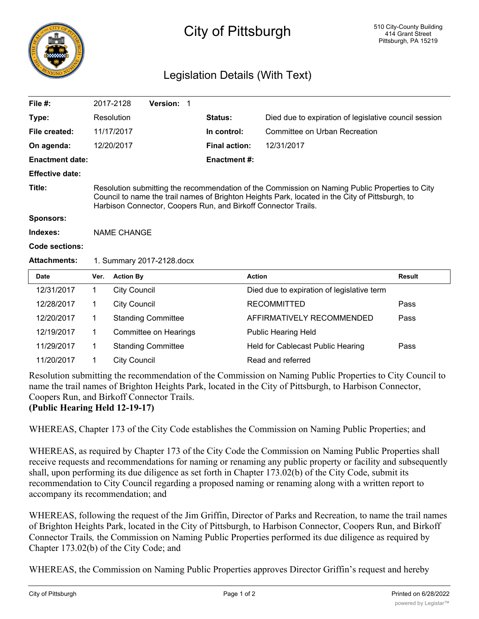

## City of Pittsburgh

## Legislation Details (With Text)

| File #:                |                                                                                                                                                                                                                                                                     | 2017-2128           | Version: 1                |                      |                                                       |               |
|------------------------|---------------------------------------------------------------------------------------------------------------------------------------------------------------------------------------------------------------------------------------------------------------------|---------------------|---------------------------|----------------------|-------------------------------------------------------|---------------|
| Type:                  |                                                                                                                                                                                                                                                                     | Resolution          |                           | <b>Status:</b>       | Died due to expiration of legislative council session |               |
| File created:          |                                                                                                                                                                                                                                                                     | 11/17/2017          |                           | In control:          | Committee on Urban Recreation                         |               |
| On agenda:             |                                                                                                                                                                                                                                                                     | 12/20/2017          |                           | <b>Final action:</b> | 12/31/2017                                            |               |
| <b>Enactment date:</b> |                                                                                                                                                                                                                                                                     |                     |                           | <b>Enactment #:</b>  |                                                       |               |
| <b>Effective date:</b> |                                                                                                                                                                                                                                                                     |                     |                           |                      |                                                       |               |
| Title:                 | Resolution submitting the recommendation of the Commission on Naming Public Properties to City<br>Council to name the trail names of Brighton Heights Park, located in the City of Pittsburgh, to<br>Harbison Connector, Coopers Run, and Birkoff Connector Trails. |                     |                           |                      |                                                       |               |
| <b>Sponsors:</b>       |                                                                                                                                                                                                                                                                     |                     |                           |                      |                                                       |               |
| Indexes:               | <b>NAME CHANGE</b>                                                                                                                                                                                                                                                  |                     |                           |                      |                                                       |               |
| Code sections:         |                                                                                                                                                                                                                                                                     |                     |                           |                      |                                                       |               |
| <b>Attachments:</b>    | 1. Summary 2017-2128.docx                                                                                                                                                                                                                                           |                     |                           |                      |                                                       |               |
| <b>Date</b>            | Ver.                                                                                                                                                                                                                                                                | <b>Action By</b>    |                           |                      | <b>Action</b>                                         | <b>Result</b> |
| 12/31/2017             | $\mathbf{1}$                                                                                                                                                                                                                                                        | <b>City Council</b> |                           |                      | Died due to expiration of legislative term            |               |
| 12/28/2017             | 1                                                                                                                                                                                                                                                                   | <b>City Council</b> |                           |                      | <b>RECOMMITTED</b>                                    | Pass          |
| 12/20/2017             | 1                                                                                                                                                                                                                                                                   |                     | <b>Standing Committee</b> |                      | AFFIRMATIVELY RECOMMENDED                             | Pass          |
| 12/19/2017             | $\mathbf{1}$                                                                                                                                                                                                                                                        |                     | Committee on Hearings     |                      | <b>Public Hearing Held</b>                            |               |
| 11/29/2017             | 1.                                                                                                                                                                                                                                                                  |                     | <b>Standing Committee</b> |                      | Held for Cablecast Public Hearing                     | Pass          |
| 11/20/2017             | 1                                                                                                                                                                                                                                                                   | <b>City Council</b> |                           |                      | Read and referred                                     |               |

Resolution submitting the recommendation of the Commission on Naming Public Properties to City Council to name the trail names of Brighton Heights Park, located in the City of Pittsburgh, to Harbison Connector, Coopers Run, and Birkoff Connector Trails.

**(Public Hearing Held 12-19-17)**

WHEREAS, Chapter 173 of the City Code establishes the Commission on Naming Public Properties; and

WHEREAS, as required by Chapter 173 of the City Code the Commission on Naming Public Properties shall receive requests and recommendations for naming or renaming any public property or facility and subsequently shall, upon performing its due diligence as set forth in Chapter 173.02(b) of the City Code, submit its recommendation to City Council regarding a proposed naming or renaming along with a written report to accompany its recommendation; and

WHEREAS, following the request of the Jim Griffin, Director of Parks and Recreation, to name the trail names of Brighton Heights Park, located in the City of Pittsburgh, to Harbison Connector, Coopers Run, and Birkoff Connector Trails*,* the Commission on Naming Public Properties performed its due diligence as required by Chapter 173.02(b) of the City Code; and

WHEREAS, the Commission on Naming Public Properties approves Director Griffin's request and hereby